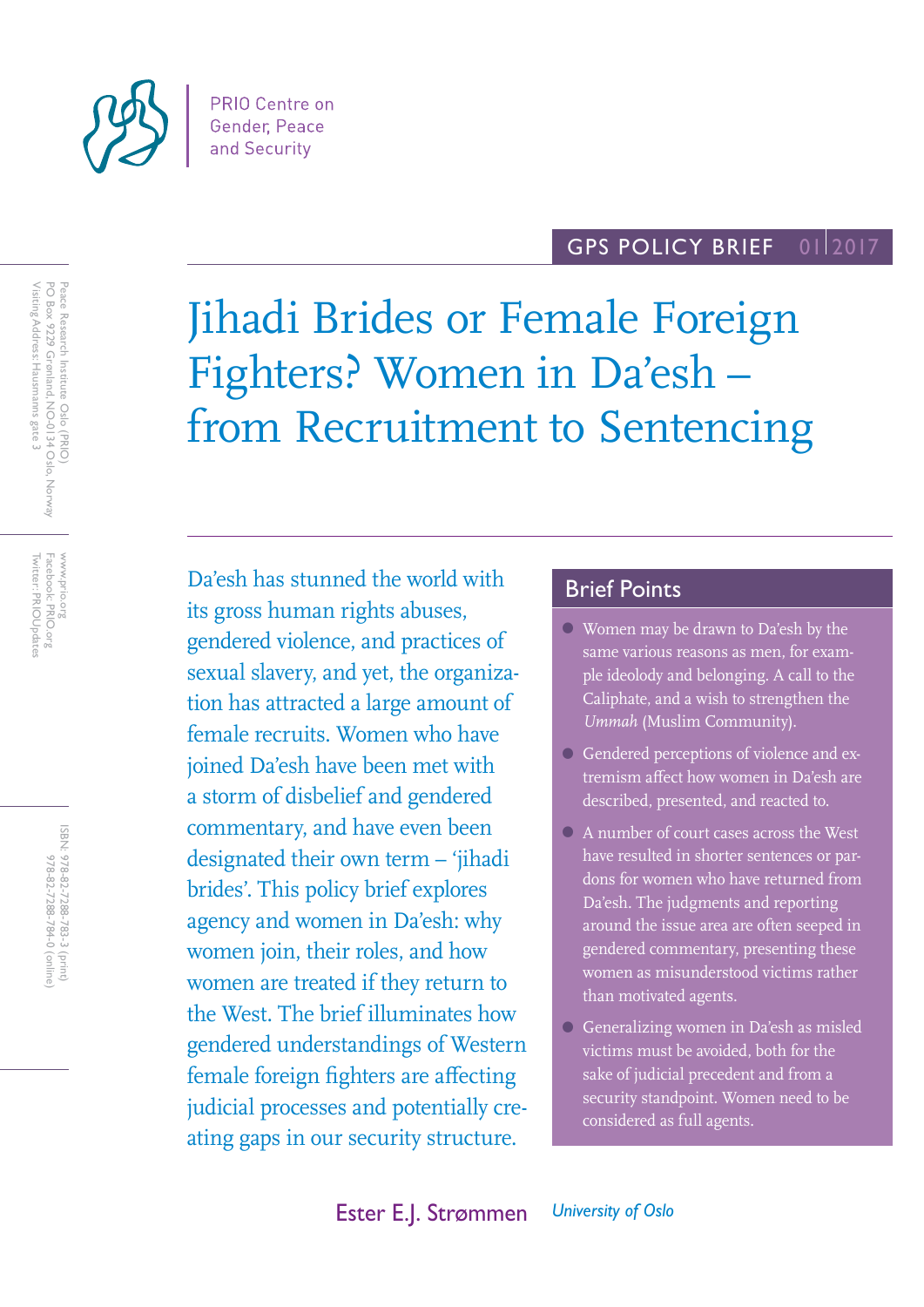

#### GPS POLICY BRIEF 01 2017

Jihadi Brides or Female Foreign Fighters? Women in Da'esh – from Recruitment to Sentencing

Da'esh has stunned the world with its gross human rights abuses, gendered violence, and practices of sexual slavery, and yet, the organization has attracted a large amount of female recruits. Women who have joined Da'esh have been met with a storm of disbelief and gendered commentary, and have even been designated their own term – 'jihadi brides'. This policy brief explores agency and women in Da'esh: why women join, their roles, and how women are treated if they return to the West. The brief illuminates how gendered understandings of Western female foreign fighters are affecting judicial processes and potentially creating gaps in our security structure.

# Brief Points

- Women may be drawn to Da'esh by the same various reasons as men, for example ideolody and belonging. A call to the Caliphate, and a wish to strengthen the *Ummah* (Muslim Community).
- Gendered perceptions of violence and extremism affect how women in Da'esh are described, presented, and reacted to.
- A number of court cases across the West have resulted in shorter sentences or pardons for women who have returned from Da'esh. The judgments and reporting around the issue area are often seeped in gendered commentary, presenting these women as misunderstood victims rather than motivated agents.
- Generalizing women in Da'esh as misled victims must be avoided, both for the sake of judicial precedent and from a security standpoint. Women need to be considered as full agents.

Peace Research Institute Oslo (PRIO)<br>PO Box 9229 Grønland, NO-0134 Oslo, Norway<br>Visiting Address: Hausmanns gate 3 Visiting Address: Hausmanns gate 3 PO Box 9229 Grønland, NO-0134 Oslo, Norway Peace Research Institute Oslo (PRIO)

Facebook: PRIO.org<br>Twitter: PRIOUpdates Twitter: PRIOUpdates Facebook: PRIO.org www.prio.org www.prio.org

> ISBN: 978-82-7288-783-3 (print) 978-82-7288-784-0 (online) 978-82-7288-784-0 (online) 978-82-7288-783-3 (print)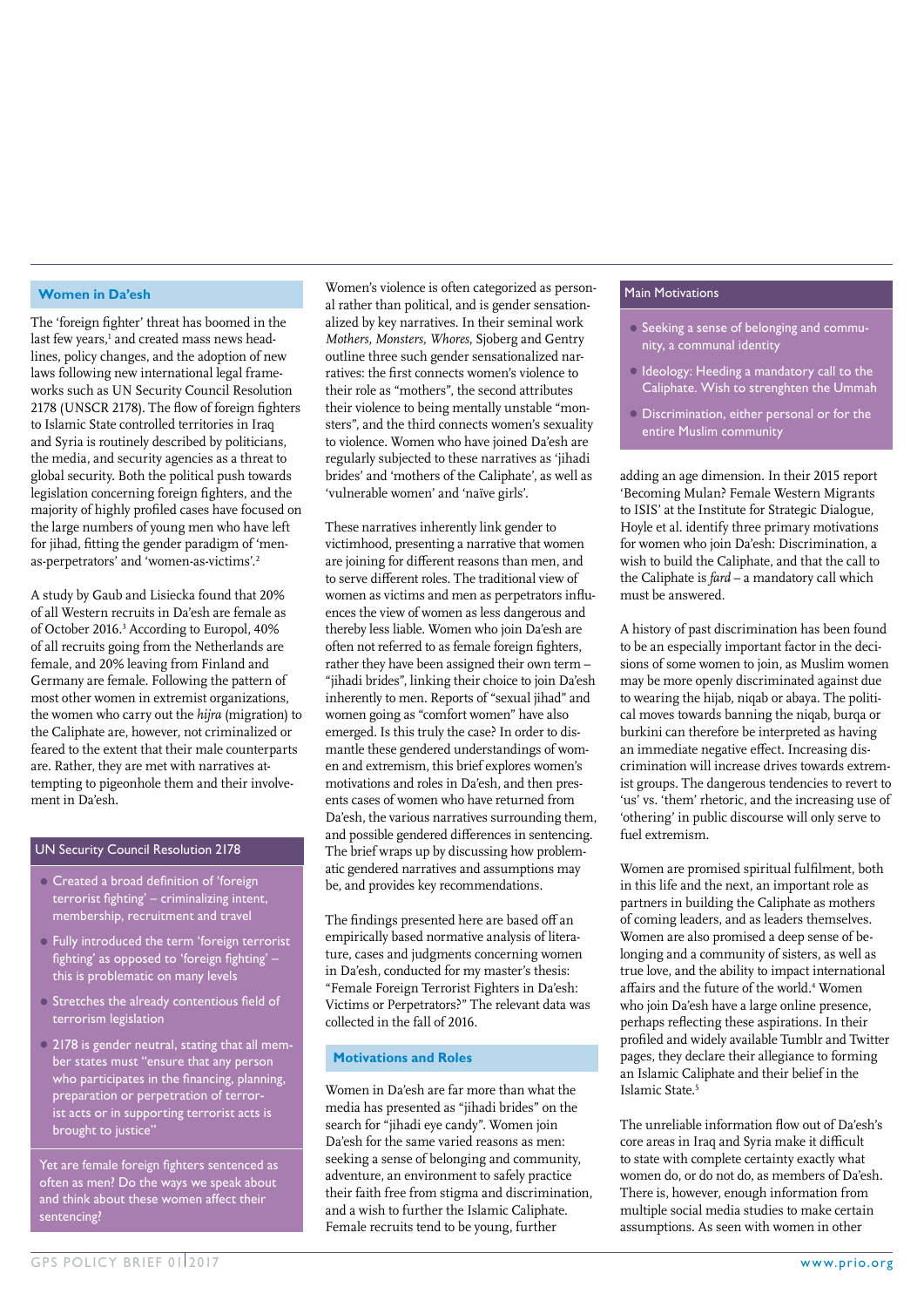#### **Women in Da'esh**

The 'foreign fighter' threat has boomed in the last few years, $^{\rm 1}$  and created mass news headlines, policy changes, and the adoption of new laws following new international legal frameworks such as UN Security Council Resolution 2178 (UNSCR 2178). The flow of foreign fighters to Islamic State controlled territories in Iraq and Syria is routinely described by politicians, the media, and security agencies as a threat to global security. Both the political push towards legislation concerning foreign fighters, and the majority of highly profiled cases have focused on the large numbers of young men who have left for jihad, fitting the gender paradigm of 'menas-perpetrators' and 'women-as-victims'.2

A study by Gaub and Lisiecka found that 20% of all Western recruits in Da'esh are female as of October 2016.<sup>3</sup> According to Europol, 40% of all recruits going from the Netherlands are female, and 20% leaving from Finland and Germany are female. Following the pattern of most other women in extremist organizations, the women who carry out the *hijra* (migration) to the Caliphate are, however, not criminalized or feared to the extent that their male counterparts are. Rather, they are met with narratives attempting to pigeonhole them and their involvement in Da'esh.

#### UN Security Council Resolution 2178

- Created a broad definition of 'foreign terrorist fighting' – criminalizing intent, membership, recruitment and travel
- Fully introduced the term 'foreign terrorist fighting' as opposed to 'foreign fighting' this is problematic on many levels
- Stretches the already contentious field of terrorism legislation
- 2178 is gender neutral, stating that all member states must "ensure that any person who participates in the financing, planning, preparation or perpetration of terrorist acts or in supporting terrorist acts is brought to justice'

Yet are female foreign fighters sentenced as often as men? Do the ways we speak about and think about these women affect their sentencing?

Women's violence is often categorized as personal rather than political, and is gender sensationalized by key narratives. In their seminal work *Mothers, Monsters, Whores*, Sjoberg and Gentry outline three such gender sensationalized narratives: the first connects women's violence to their role as "mothers", the second attributes their violence to being mentally unstable "monsters", and the third connects women's sexuality to violence. Women who have joined Da'esh are regularly subjected to these narratives as 'jihadi brides' and 'mothers of the Caliphate', as well as 'vulnerable women' and 'naïve girls'.

These narratives inherently link gender to victimhood, presenting a narrative that women are joining for different reasons than men, and to serve different roles. The traditional view of women as victims and men as perpetrators influences the view of women as less dangerous and thereby less liable. Women who join Da'esh are often not referred to as female foreign fighters, rather they have been assigned their own term – "jihadi brides", linking their choice to join Da'esh inherently to men. Reports of "sexual jihad" and women going as "comfort women" have also emerged. Is this truly the case? In order to dismantle these gendered understandings of women and extremism, this brief explores women's motivations and roles in Da'esh, and then presents cases of women who have returned from Da'esh, the various narratives surrounding them, and possible gendered differences in sentencing. The brief wraps up by discussing how problematic gendered narratives and assumptions may be, and provides key recommendations.

The findings presented here are based off an empirically based normative analysis of literature, cases and judgments concerning women in Da'esh, conducted for my master's thesis: "Female Foreign Terrorist Fighters in Da'esh: Victims or Perpetrators?" The relevant data was collected in the fall of 2016.

# **Motivations and Roles**

Women in Da'esh are far more than what the media has presented as "jihadi brides" on the search for "jihadi eye candy". Women join Da'esh for the same varied reasons as men: seeking a sense of belonging and community, adventure, an environment to safely practice their faith free from stigma and discrimination, and a wish to further the Islamic Caliphate. Female recruits tend to be young, further

#### Main Motivations

- Seeking a sense of belonging and community, a communal identity
- Ideology: Heeding a mandatory call to the Caliphate. Wish to strenghten the Ummah
- Discrimination, either personal or for the entire Muslim community

adding an age dimension. In their 2015 report 'Becoming Mulan? Female Western Migrants to ISIS' at the Institute for Strategic Dialogue, Hoyle et al. identify three primary motivations for women who join Da'esh: Discrimination, a wish to build the Caliphate, and that the call to the Caliphate is *fard* – a mandatory call which must be answered.

A history of past discrimination has been found to be an especially important factor in the decisions of some women to join, as Muslim women may be more openly discriminated against due to wearing the hijab, niqab or abaya. The political moves towards banning the niqab, burqa or burkini can therefore be interpreted as having an immediate negative effect. Increasing discrimination will increase drives towards extremist groups. The dangerous tendencies to revert to 'us' vs. 'them' rhetoric, and the increasing use of 'othering' in public discourse will only serve to fuel extremism.

Women are promised spiritual fulfilment, both in this life and the next, an important role as partners in building the Caliphate as mothers of coming leaders, and as leaders themselves. Women are also promised a deep sense of belonging and a community of sisters, as well as true love, and the ability to impact international affairs and the future of the world.<sup>4</sup> Women who join Da'esh have a large online presence, perhaps reflecting these aspirations. In their profiled and widely available Tumblr and Twitter pages, they declare their allegiance to forming an Islamic Caliphate and their belief in the Islamic State.5

The unreliable information flow out of Da'esh's core areas in Iraq and Syria make it difficult to state with complete certainty exactly what women do, or do not do, as members of Da'esh. There is, however, enough information from multiple social media studies to make certain assumptions. As seen with women in other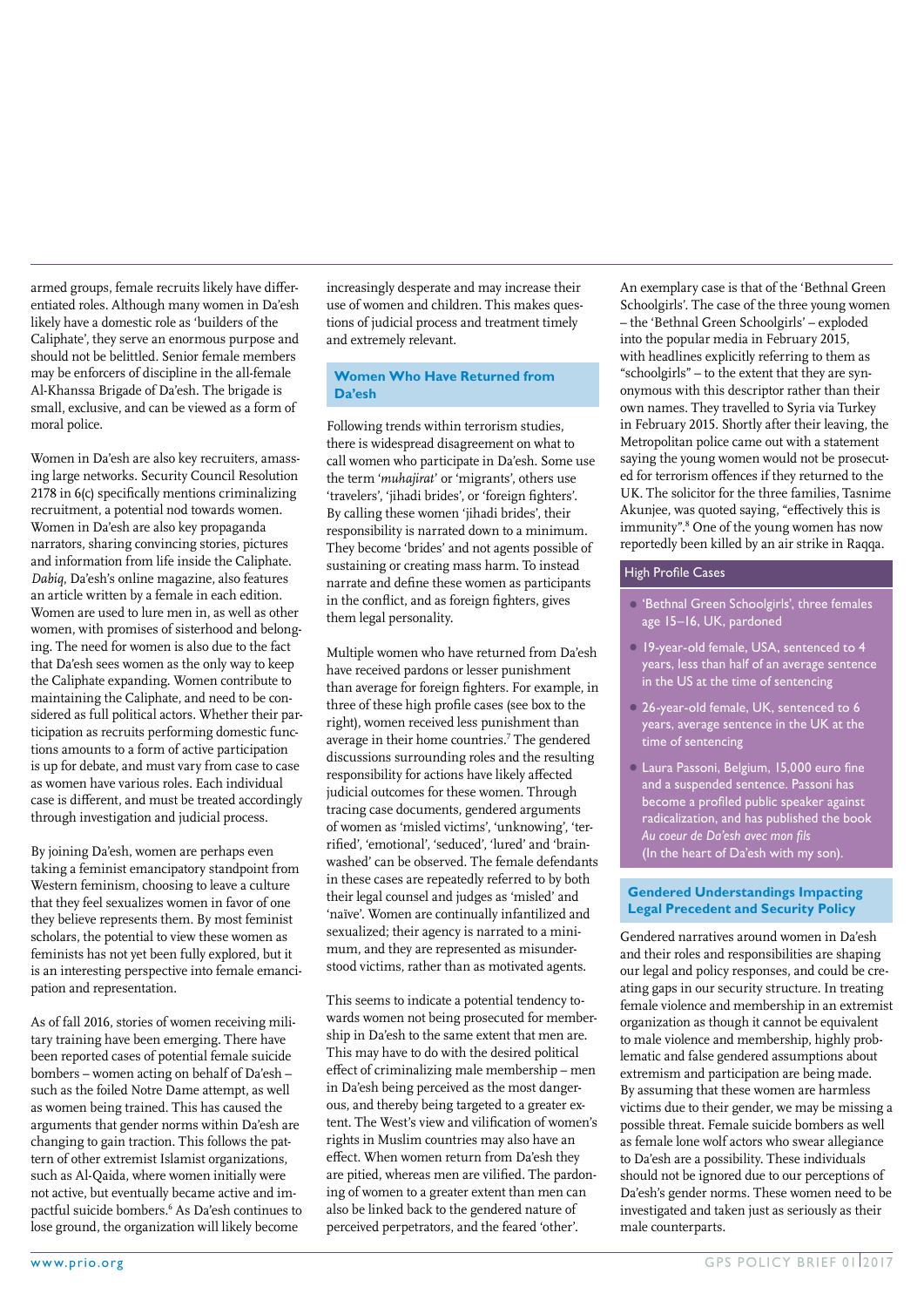armed groups, female recruits likely have differentiated roles. Although many women in Da'esh likely have a domestic role as 'builders of the Caliphate', they serve an enormous purpose and should not be belittled. Senior female members may be enforcers of discipline in the all-female Al-Khanssa Brigade of Da'esh. The brigade is small, exclusive, and can be viewed as a form of moral police.

Women in Da'esh are also key recruiters, amassing large networks. Security Council Resolution 2178 in 6(c) specifically mentions criminalizing recruitment, a potential nod towards women. Women in Da'esh are also key propaganda narrators, sharing convincing stories, pictures and information from life inside the Caliphate. *Dabiq*, Da'esh's online magazine, also features an article written by a female in each edition. Women are used to lure men in, as well as other women, with promises of sisterhood and belonging. The need for women is also due to the fact that Da'esh sees women as the only way to keep the Caliphate expanding. Women contribute to maintaining the Caliphate, and need to be considered as full political actors. Whether their participation as recruits performing domestic functions amounts to a form of active participation is up for debate, and must vary from case to case as women have various roles. Each individual case is different, and must be treated accordingly through investigation and judicial process.

By joining Da'esh, women are perhaps even taking a feminist emancipatory standpoint from Western feminism, choosing to leave a culture that they feel sexualizes women in favor of one they believe represents them. By most feminist scholars, the potential to view these women as feminists has not yet been fully explored, but it is an interesting perspective into female emancipation and representation.

As of fall 2016, stories of women receiving military training have been emerging. There have been reported cases of potential female suicide bombers – women acting on behalf of Da'esh – such as the foiled Notre Dame attempt, as well as women being trained. This has caused the arguments that gender norms within Da'esh are changing to gain traction. This follows the pattern of other extremist Islamist organizations, such as Al-Qaida, where women initially were not active, but eventually became active and impactful suicide bombers.6 As Da'esh continues to lose ground, the organization will likely become

increasingly desperate and may increase their use of women and children. This makes questions of judicial process and treatment timely and extremely relevant.

### **Women Who Have Returned from Da'esh**

Following trends within terrorism studies, there is widespread disagreement on what to call women who participate in Da'esh. Some use the term '*muhajirat*' or 'migrants', others use 'travelers', 'jihadi brides', or 'foreign fighters'. By calling these women 'jihadi brides', their responsibility is narrated down to a minimum. They become 'brides' and not agents possible of sustaining or creating mass harm. To instead narrate and define these women as participants in the conflict, and as foreign fighters, gives them legal personality.

Multiple women who have returned from Da'esh have received pardons or lesser punishment than average for foreign fighters. For example, in three of these high profile cases (see box to the right), women received less punishment than average in their home countries.<sup>7</sup> The gendered discussions surrounding roles and the resulting responsibility for actions have likely affected judicial outcomes for these women. Through tracing case documents, gendered arguments of women as 'misled victims', 'unknowing', 'terrified', 'emotional', 'seduced', 'lured' and 'brainwashed' can be observed. The female defendants in these cases are repeatedly referred to by both their legal counsel and judges as 'misled' and 'naïve'. Women are continually infantilized and sexualized; their agency is narrated to a minimum, and they are represented as misunderstood victims, rather than as motivated agents.

This seems to indicate a potential tendency towards women not being prosecuted for membership in Da'esh to the same extent that men are. This may have to do with the desired political effect of criminalizing male membership – men in Da'esh being perceived as the most dangerous, and thereby being targeted to a greater extent. The West's view and vilification of women's rights in Muslim countries may also have an effect. When women return from Da'esh they are pitied, whereas men are vilified. The pardoning of women to a greater extent than men can also be linked back to the gendered nature of perceived perpetrators, and the feared 'other'.

An exemplary case is that of the 'Bethnal Green Schoolgirls'. The case of the three young women – the 'Bethnal Green Schoolgirls' – exploded into the popular media in February 2015, with headlines explicitly referring to them as "schoolgirls" – to the extent that they are synonymous with this descriptor rather than their own names. They travelled to Syria via Turkey in February 2015. Shortly after their leaving, the Metropolitan police came out with a statement saying the young women would not be prosecuted for terrorism offences if they returned to the UK. The solicitor for the three families, Tasnime Akunjee, was quoted saying, "effectively this is immunity".<sup>8</sup> One of the young women has now reportedly been killed by an air strike in Raqqa.

# High Profile Cases

- •'Bethnal Green Schoolgirls', three females age 15–16, UK, pardoned
- 19-year-old female, USA, sentenced to 4 years, less than half of an average sentence in the US at the time of sentencing
- 26-year-old female, UK, sentenced to 6 years, average sentence in the UK at the time of sentencing
- Laura Passoni, Belgium, 15,000 euro fine and a suspended sentence. Passoni has become a profiled public speaker against radicalization, and has published the book *Au coeur de Da'esh avec mon fils* (In the heart of Da'esh with my son).

#### **Gendered Understandings Impacting Legal Precedent and Security Policy**

Gendered narratives around women in Da'esh and their roles and responsibilities are shaping our legal and policy responses, and could be creating gaps in our security structure. In treating female violence and membership in an extremist organization as though it cannot be equivalent to male violence and membership, highly problematic and false gendered assumptions about extremism and participation are being made. By assuming that these women are harmless victims due to their gender, we may be missing a possible threat. Female suicide bombers as well as female lone wolf actors who swear allegiance to Da'esh are a possibility. These individuals should not be ignored due to our perceptions of Da'esh's gender norms. These women need to be investigated and taken just as seriously as their male counterparts.